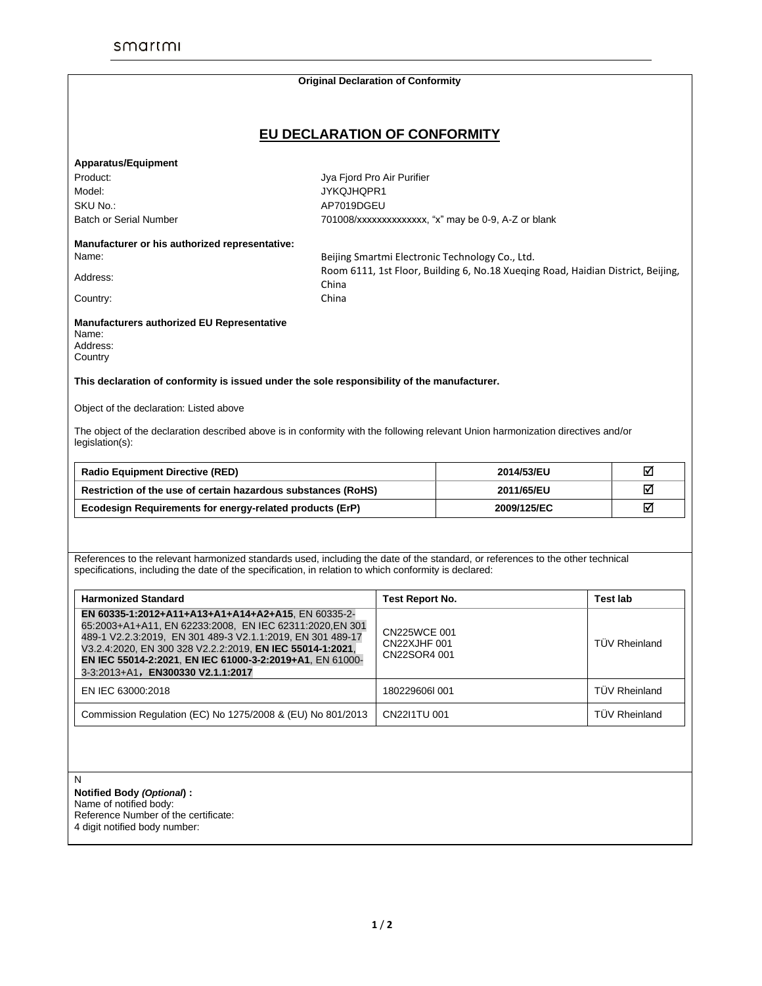|                                                                                                                                                                                                                                                                                                                                            | <b>Original Declaration of Conformity</b>                                                 |                                              |                              |                      |  |
|--------------------------------------------------------------------------------------------------------------------------------------------------------------------------------------------------------------------------------------------------------------------------------------------------------------------------------------------|-------------------------------------------------------------------------------------------|----------------------------------------------|------------------------------|----------------------|--|
|                                                                                                                                                                                                                                                                                                                                            |                                                                                           |                                              | EU DECLARATION OF CONFORMITY |                      |  |
|                                                                                                                                                                                                                                                                                                                                            |                                                                                           |                                              |                              |                      |  |
| <b>Apparatus/Equipment</b><br>Product:                                                                                                                                                                                                                                                                                                     |                                                                                           |                                              |                              |                      |  |
| Model:                                                                                                                                                                                                                                                                                                                                     | Jya Fjord Pro Air Purifier<br>JYKQJHQPR1                                                  |                                              |                              |                      |  |
| SKU No.:                                                                                                                                                                                                                                                                                                                                   | AP7019DGEU                                                                                |                                              |                              |                      |  |
| <b>Batch or Serial Number</b>                                                                                                                                                                                                                                                                                                              | 701008/xxxxxxxxxxxxxx, "x" may be 0-9, A-Z or blank                                       |                                              |                              |                      |  |
|                                                                                                                                                                                                                                                                                                                                            |                                                                                           |                                              |                              |                      |  |
| Manufacturer or his authorized representative:                                                                                                                                                                                                                                                                                             |                                                                                           |                                              |                              |                      |  |
| Name:                                                                                                                                                                                                                                                                                                                                      | Beijing Smartmi Electronic Technology Co., Ltd.                                           |                                              |                              |                      |  |
| Address:                                                                                                                                                                                                                                                                                                                                   | Room 6111, 1st Floor, Building 6, No.18 Xueging Road, Haidian District, Beijing,<br>China |                                              |                              |                      |  |
| Country:                                                                                                                                                                                                                                                                                                                                   | China                                                                                     |                                              |                              |                      |  |
|                                                                                                                                                                                                                                                                                                                                            |                                                                                           |                                              |                              |                      |  |
| Manufacturers authorized EU Representative<br>Name:<br>Address:<br>Country                                                                                                                                                                                                                                                                 |                                                                                           |                                              |                              |                      |  |
| This declaration of conformity is issued under the sole responsibility of the manufacturer.                                                                                                                                                                                                                                                |                                                                                           |                                              |                              |                      |  |
| Object of the declaration: Listed above                                                                                                                                                                                                                                                                                                    |                                                                                           |                                              |                              |                      |  |
| The object of the declaration described above is in conformity with the following relevant Union harmonization directives and/or<br>legislation(s):                                                                                                                                                                                        |                                                                                           |                                              |                              |                      |  |
| <b>Radio Equipment Directive (RED)</b>                                                                                                                                                                                                                                                                                                     | 2014/53/EU<br>2011/65/EU                                                                  |                                              |                              | ☑                    |  |
| Restriction of the use of certain hazardous substances (RoHS)                                                                                                                                                                                                                                                                              |                                                                                           |                                              | ☑                            |                      |  |
| Ecodesign Requirements for energy-related products (ErP)                                                                                                                                                                                                                                                                                   |                                                                                           | 2009/125/EC                                  |                              | ⊠                    |  |
| References to the relevant harmonized standards used, including the date of the standard, or references to the other technical<br>specifications, including the date of the specification, in relation to which conformity is declared:                                                                                                    |                                                                                           |                                              |                              |                      |  |
| <b>Harmonized Standard</b>                                                                                                                                                                                                                                                                                                                 |                                                                                           | <b>Test Report No.</b>                       |                              | <b>Test lab</b>      |  |
| EN 60335-1:2012+A11+A13+A1+A14+A2+A15, EN 60335-2-<br>65:2003+A1+A11, EN 62233:2008, EN IEC 62311:2020, EN 301<br>489-1 V2.2.3:2019, EN 301 489-3 V2.1.1:2019, EN 301 489-17<br>V3.2.4:2020, EN 300 328 V2.2.2:2019, EN IEC 55014-1:2021,<br>EN IEC 55014-2:2021, EN IEC 61000-3-2:2019+A1, EN 61000-<br>3-3:2013+A1, EN300330 V2.1.1:2017 |                                                                                           | CN225WCE 001<br>CN22XJHF 001<br>CN22SOR4 001 |                              | <b>TÜV Rheinland</b> |  |
| EN IEC 63000:2018                                                                                                                                                                                                                                                                                                                          |                                                                                           | 180229606l 001                               |                              | <b>TÜV Rheinland</b> |  |
| Commission Regulation (EC) No 1275/2008 & (EU) No 801/2013                                                                                                                                                                                                                                                                                 |                                                                                           | CN2211TU 001                                 |                              | <b>TÜV Rheinland</b> |  |
| N<br>Notified Body (Optional) :                                                                                                                                                                                                                                                                                                            |                                                                                           |                                              |                              |                      |  |

Reference Number of the certificate: 4 digit notified body number: